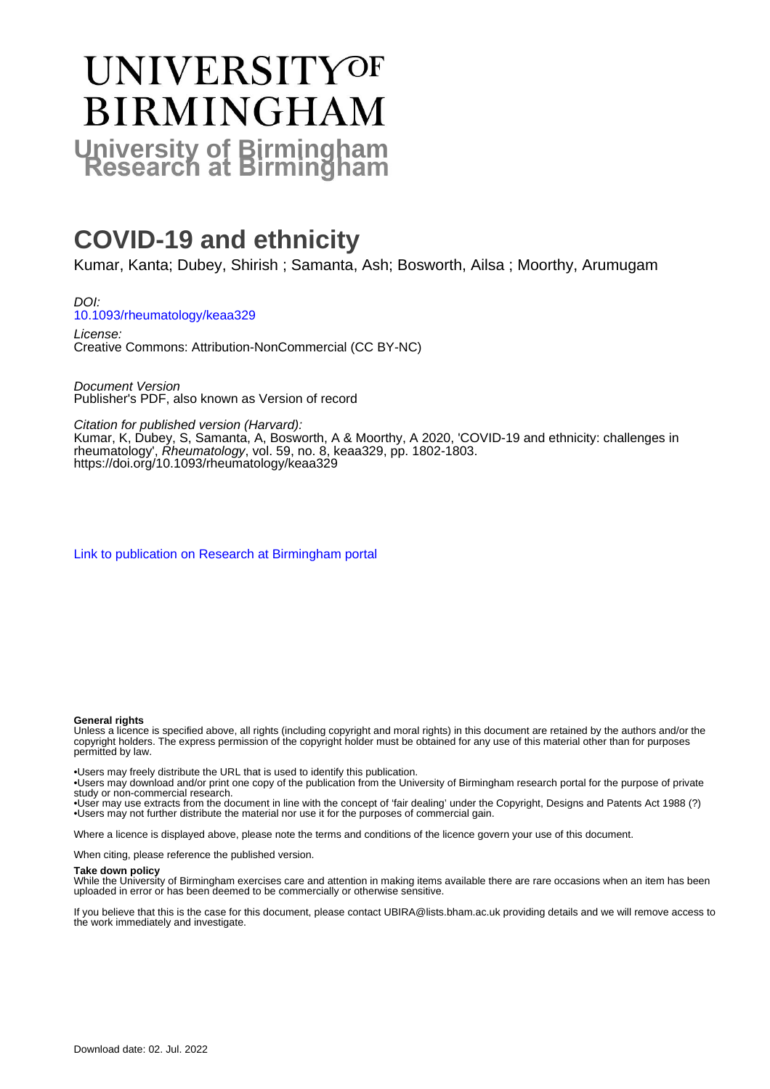# **UNIVERSITYOF BIRMINGHAM University of Birmingham**

# **COVID-19 and ethnicity**

Kumar, Kanta; Dubey, Shirish ; Samanta, Ash; Bosworth, Ailsa ; Moorthy, Arumugam

DOI: [10.1093/rheumatology/keaa329](https://doi.org/10.1093/rheumatology/keaa329)

License: Creative Commons: Attribution-NonCommercial (CC BY-NC)

Document Version Publisher's PDF, also known as Version of record

Citation for published version (Harvard):

Kumar, K, Dubey, S, Samanta, A, Bosworth, A & Moorthy, A 2020, 'COVID-19 and ethnicity: challenges in rheumatology', Rheumatology, vol. 59, no. 8, keaa329, pp. 1802-1803. <https://doi.org/10.1093/rheumatology/keaa329>

[Link to publication on Research at Birmingham portal](https://birmingham.elsevierpure.com/en/publications/3c0f244d-0902-438f-a5a5-2eae3619c7c3)

#### **General rights**

Unless a licence is specified above, all rights (including copyright and moral rights) in this document are retained by the authors and/or the copyright holders. The express permission of the copyright holder must be obtained for any use of this material other than for purposes permitted by law.

• Users may freely distribute the URL that is used to identify this publication.

• Users may download and/or print one copy of the publication from the University of Birmingham research portal for the purpose of private study or non-commercial research.

• User may use extracts from the document in line with the concept of 'fair dealing' under the Copyright, Designs and Patents Act 1988 (?) • Users may not further distribute the material nor use it for the purposes of commercial gain.

Where a licence is displayed above, please note the terms and conditions of the licence govern your use of this document.

When citing, please reference the published version.

#### **Take down policy**

While the University of Birmingham exercises care and attention in making items available there are rare occasions when an item has been uploaded in error or has been deemed to be commercially or otherwise sensitive.

If you believe that this is the case for this document, please contact UBIRA@lists.bham.ac.uk providing details and we will remove access to the work immediately and investigate.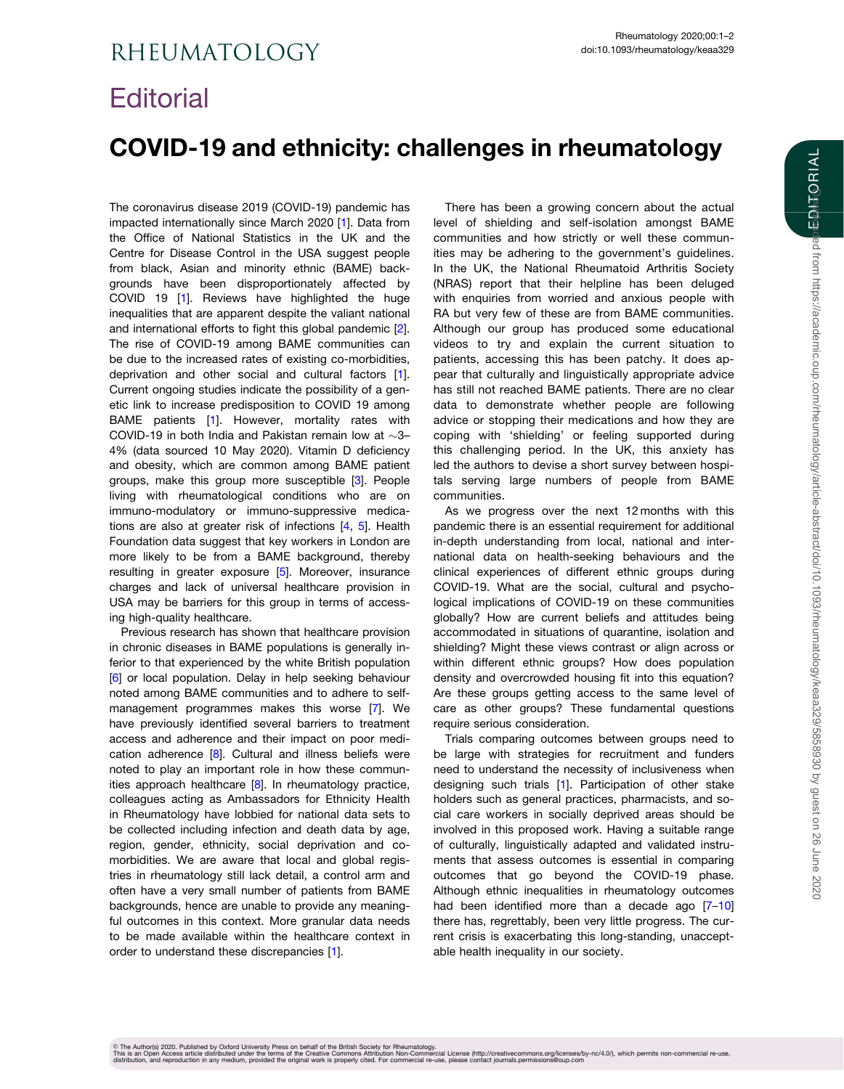## <span id="page-1-0"></span>**Editorial**

## COVID-19 and ethnicity: challenges in rheumatology

The coronavirus disease 2019 (COVID-19) pandemic has impacted internationally since March 2020 [\[1\]](#page-2-0). Data from the Office of National Statistics in the UK and the Centre for Disease Control in the USA suggest people from black, Asian and minority ethnic (BAME) backgrounds have been disproportionately affected by COVID 19 [[1\]](#page-2-0). Reviews have highlighted the huge inequalities that are apparent despite the valiant national and international efforts to fight this global pandemic [\[2](#page-2-0)]. The rise of COVID-19 among BAME communities can be due to the increased rates of existing co-morbidities, deprivation and other social and cultural factors [\[1](#page-2-0)]. Current ongoing studies indicate the possibility of a genetic link to increase predisposition to COVID 19 among BAME patients [\[1\]](#page-2-0). However, mortality rates with COVID-19 in both India and Pakistan remain low at  $\sim$ 3-4% (data sourced 10 May 2020). Vitamin D deficiency and obesity, which are common among BAME patient groups, make this group more susceptible [\[3](#page-2-0)]. People living with rheumatological conditions who are on immuno-modulatory or immuno-suppressive medications are also at greater risk of infections [\[4,](#page-2-0) [5\]](#page-2-0). Health Foundation data suggest that key workers in London are more likely to be from a BAME background, thereby resulting in greater exposure [[5](#page-2-0)]. Moreover, insurance charges and lack of universal healthcare provision in USA may be barriers for this group in terms of accessing high-quality healthcare.

Previous research has shown that healthcare provision in chronic diseases in BAME populations is generally inferior to that experienced by the white British population [[6](#page-2-0)] or local population. Delay in help seeking behaviour noted among BAME communities and to adhere to selfmanagement programmes makes this worse [\[7\]](#page-2-0). We have previously identified several barriers to treatment access and adherence and their impact on poor medication adherence [[8](#page-2-0)]. Cultural and illness beliefs were noted to play an important role in how these communities approach healthcare  $[8]$  $[8]$  $[8]$ . In rheumatology practice, colleagues acting as Ambassadors for Ethnicity Health in Rheumatology have lobbied for national data sets to be collected including infection and death data by age, region, gender, ethnicity, social deprivation and comorbidities. We are aware that local and global registries in rheumatology still lack detail, a control arm and often have a very small number of patients from BAME backgrounds, hence are unable to provide any meaningful outcomes in this context. More granular data needs to be made available within the healthcare context in order to understand these discrepancies [\[1\]](#page-2-0).

There has been a growing concern about the actual level of shielding and self-isolation amongst BAME communities and how strictly or well these communities may be adhering to the government's guidelines. In the UK, the National Rheumatoid Arthritis Society (NRAS) report that their helpline has been deluged with enquiries from worried and anxious people with RA but very few of these are from BAME communities. Although our group has produced some educational videos to try and explain the current situation to patients, accessing this has been patchy. It does appear that culturally and linguistically appropriate advice has still not reached BAME patients. There are no clear data to demonstrate whether people are following advice or stopping their medications and how they are coping with 'shielding' or feeling supported during this challenging period. In the UK, this anxiety has led the authors to devise a short survey between hospitals serving large numbers of people from BAME communities.

As we progress over the next 12 months with this pandemic there is an essential requirement for additional in-depth understanding from local, national and international data on health-seeking behaviours and the clinical experiences of different ethnic groups during COVID-19. What are the social, cultural and psychological implications of COVID-19 on these communities globally? How are current beliefs and attitudes being accommodated in situations of quarantine, isolation and shielding? Might these views contrast or align across or within different ethnic groups? How does population density and overcrowded housing fit into this equation? Are these groups getting access to the same level of care as other groups? These fundamental questions require serious consideration.

Trials comparing outcomes between groups need to be large with strategies for recruitment and funders need to understand the necessity of inclusiveness when designing such trials [\[1](#page-2-0)]. Participation of other stake holders such as general practices, pharmacists, and social care workers in socially deprived areas should be involved in this proposed work. Having a suitable range of culturally, linguistically adapted and validated instruments that assess outcomes is essential in comparing outcomes that go beyond the COVID-19 phase. Although ethnic inequalities in rheumatology outcomes had been identified more than a decade ago [7-10] there has, regrettably, been very little progress. The current crisis is exacerbating this long-standing, unacceptable health inequality in our society.